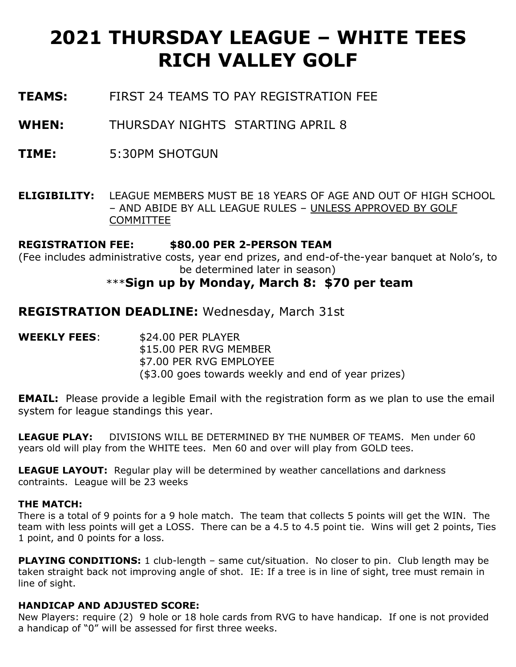# **2021 THURSDAY LEAGUE – WHITE TEES RICH VALLEY GOLF**

- **TEAMS:** FIRST 24 TEAMS TO PAY REGISTRATION FEE
- **WHEN:** THURSDAY NIGHTS STARTING APRIL 8
- **TIME:** 5:30PM SHOTGUN
- **ELIGIBILITY:** LEAGUE MEMBERS MUST BE 18 YEARS OF AGE AND OUT OF HIGH SCHOOL – AND ABIDE BY ALL LEAGUE RULES – UNLESS APPROVED BY GOLF COMMITTEE

### **REGISTRATION FEE: \$80.00 PER 2-PERSON TEAM**

(Fee includes administrative costs, year end prizes, and end-of-the-year banquet at Nolo's, to be determined later in season)

## \*\*\***Sign up by Monday, March 8: \$70 per team**

**REGISTRATION DEADLINE:** Wednesday, March 31st

**WEEKLY FEES**: \$24.00 PER PLAYER \$15.00 PER RVG MEMBER \$7.00 PER RVG EMPLOYEE (\$3.00 goes towards weekly and end of year prizes)

**EMAIL:** Please provide a legible Email with the registration form as we plan to use the email system for league standings this year.

**LEAGUE PLAY:** DIVISIONS WILL BE DETERMINED BY THE NUMBER OF TEAMS. Men under 60 years old will play from the WHITE tees. Men 60 and over will play from GOLD tees.

**LEAGUE LAYOUT:** Regular play will be determined by weather cancellations and darkness contraints. League will be 23 weeks

#### **THE MATCH:**

There is a total of 9 points for a 9 hole match. The team that collects 5 points will get the WIN. The team with less points will get a LOSS. There can be a 4.5 to 4.5 point tie. Wins will get 2 points, Ties 1 point, and 0 points for a loss.

**PLAYING CONDITIONS:** 1 club-length – same cut/situation. No closer to pin. Club length may be taken straight back not improving angle of shot. IE: If a tree is in line of sight, tree must remain in line of sight.

#### **HANDICAP AND ADJUSTED SCORE:**

New Players: require (2) 9 hole or 18 hole cards from RVG to have handicap. If one is not provided a handicap of "0" will be assessed for first three weeks.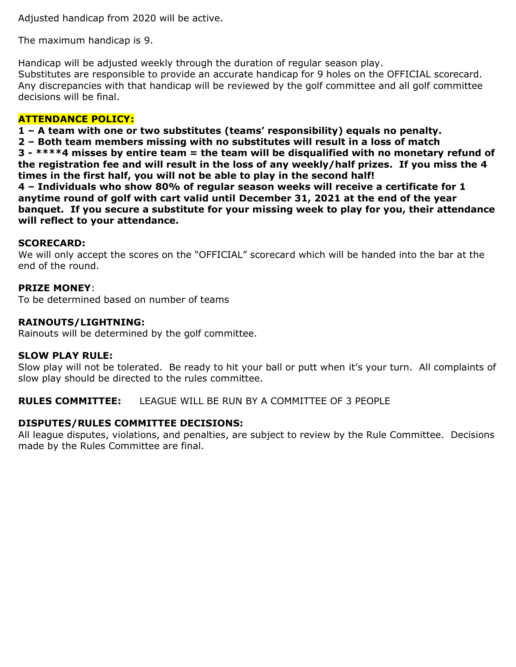Adjusted handicap from 2020 will be active.

The maximum handicap is 9.

Handicap will be adjusted weekly through the duration of regular season play. Substitutes are responsible to provide an accurate handicap for 9 holes on the OFFICIAL scorecard. Any discrepancies with that handicap will be reviewed by the golf committee and all golf committee decisions will be final.

#### **ATTENDANCE POLICY:**

**1 – A team with one or two substitutes (teams' responsibility) equals no penalty.**

**2 – Both team members missing with no substitutes will result in a loss of match**

**3 - \*\*\*\*4 misses by entire team = the team will be disqualified with no monetary refund of the registration fee and will result in the loss of any weekly/half prizes. If you miss the 4 times in the first half, you will not be able to play in the second half!**

**4 – Individuals who show 80% of regular season weeks will receive a certificate for 1 anytime round of golf with cart valid until December 31, 2021 at the end of the year banquet. If you secure a substitute for your missing week to play for you, their attendance will reflect to your attendance.** 

#### **SCORECARD:**

We will only accept the scores on the "OFFICIAL" scorecard which will be handed into the bar at the end of the round.

#### **PRIZE MONEY**:

To be determined based on number of teams

#### **RAINOUTS/LIGHTNING:**

Rainouts will be determined by the golf committee.

#### **SLOW PLAY RULE:**

Slow play will not be tolerated. Be ready to hit your ball or putt when it's your turn. All complaints of slow play should be directed to the rules committee.

**RULES COMMITTEE:** LEAGUE WILL BE RUN BY A COMMITTEE OF 3 PEOPLE

#### **DISPUTES/RULES COMMITTEE DECISIONS:**

All league disputes, violations, and penalties, are subject to review by the Rule Committee. Decisions made by the Rules Committee are final.